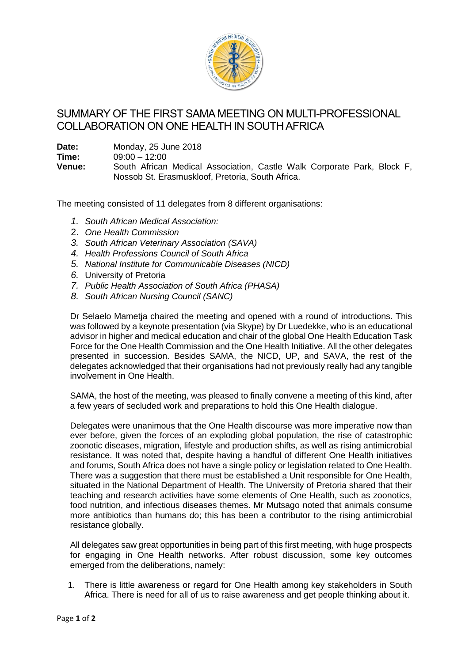

## SUMMARY OF THE FIRST SAMA MEETING ON MULTI-PROFESSIONAL COLLABORATION ON ONE HEALTH IN SOUTH AFRICA

**Date:** Monday, 25 June 2018

**Time:** 09:00 – 12:00

**Venue:** South African Medical Association, Castle Walk Corporate Park, Block F, Nossob St. Erasmuskloof, Pretoria, South Africa.

The meeting consisted of 11 delegates from 8 different organisations:

- *1. South African Medical Association:*
- 2. *One Health Commission*
- *3. South African Veterinary Association (SAVA)*
- *4. Health Professions Council of South Africa*
- *5. National Institute for Communicable Diseases (NICD)*
- *6.* University of Pretoria
- *7. Public Health Association of South Africa (PHASA)*
- *8. South African Nursing Council (SANC)*

Dr Selaelo Mametja chaired the meeting and opened with a round of introductions. This was followed by a keynote presentation (via Skype) by Dr Luedekke, who is an educational advisor in higher and medical education and chair of the global One Health Education Task Force for the One Health Commission and the One Health Initiative. All the other delegates presented in succession. Besides SAMA, the NICD, UP, and SAVA, the rest of the delegates acknowledged that their organisations had not previously really had any tangible involvement in One Health.

SAMA, the host of the meeting, was pleased to finally convene a meeting of this kind, after a few years of secluded work and preparations to hold this One Health dialogue.

Delegates were unanimous that the One Health discourse was more imperative now than ever before, given the forces of an exploding global population, the rise of catastrophic zoonotic diseases, migration, lifestyle and production shifts, as well as rising antimicrobial resistance. It was noted that, despite having a handful of different One Health initiatives and forums, South Africa does not have a single policy or legislation related to One Health. There was a suggestion that there must be established a Unit responsible for One Health, situated in the National Department of Health. The University of Pretoria shared that their teaching and research activities have some elements of One Health, such as zoonotics, food nutrition, and infectious diseases themes. Mr Mutsago noted that animals consume more antibiotics than humans do; this has been a contributor to the rising antimicrobial resistance globally.

All delegates saw great opportunities in being part of this first meeting, with huge prospects for engaging in One Health networks. After robust discussion, some key outcomes emerged from the deliberations, namely:

1. There is little awareness or regard for One Health among key stakeholders in South Africa. There is need for all of us to raise awareness and get people thinking about it.